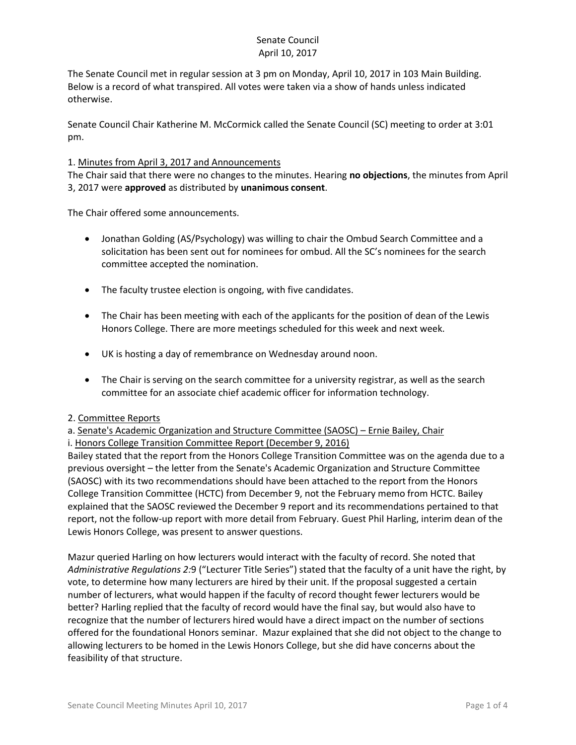The Senate Council met in regular session at 3 pm on Monday, April 10, 2017 in 103 Main Building. Below is a record of what transpired. All votes were taken via a show of hands unless indicated otherwise.

Senate Council Chair Katherine M. McCormick called the Senate Council (SC) meeting to order at 3:01 pm.

### 1. Minutes from April 3, 2017 and Announcements

The Chair said that there were no changes to the minutes. Hearing **no objections**, the minutes from April 3, 2017 were **approved** as distributed by **unanimous consent**.

The Chair offered some announcements.

- Jonathan Golding (AS/Psychology) was willing to chair the Ombud Search Committee and a solicitation has been sent out for nominees for ombud. All the SC's nominees for the search committee accepted the nomination.
- The faculty trustee election is ongoing, with five candidates.
- The Chair has been meeting with each of the applicants for the position of dean of the Lewis Honors College. There are more meetings scheduled for this week and next week.
- UK is hosting a day of remembrance on Wednesday around noon.
- The Chair is serving on the search committee for a university registrar, as well as the search committee for an associate chief academic officer for information technology.

#### 2. Committee Reports

a. Senate's Academic Organization and Structure Committee (SAOSC) – Ernie Bailey, Chair

i. Honors College Transition Committee Report (December 9, 2016)

Bailey stated that the report from the Honors College Transition Committee was on the agenda due to a previous oversight – the letter from the Senate's Academic Organization and Structure Committee (SAOSC) with its two recommendations should have been attached to the report from the Honors College Transition Committee (HCTC) from December 9, not the February memo from HCTC. Bailey explained that the SAOSC reviewed the December 9 report and its recommendations pertained to that report, not the follow-up report with more detail from February. Guest Phil Harling, interim dean of the Lewis Honors College, was present to answer questions.

Mazur queried Harling on how lecturers would interact with the faculty of record. She noted that *Administrative Regulations 2:*9 ("Lecturer Title Series") stated that the faculty of a unit have the right, by vote, to determine how many lecturers are hired by their unit. If the proposal suggested a certain number of lecturers, what would happen if the faculty of record thought fewer lecturers would be better? Harling replied that the faculty of record would have the final say, but would also have to recognize that the number of lecturers hired would have a direct impact on the number of sections offered for the foundational Honors seminar. Mazur explained that she did not object to the change to allowing lecturers to be homed in the Lewis Honors College, but she did have concerns about the feasibility of that structure.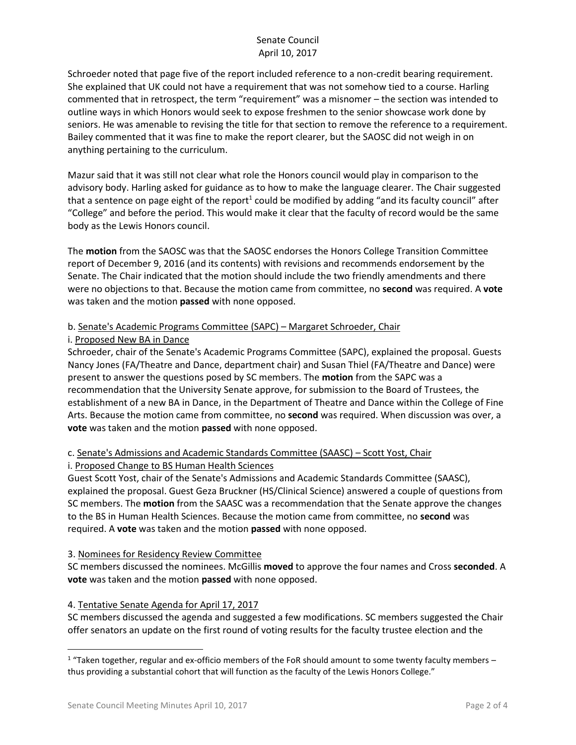Schroeder noted that page five of the report included reference to a non-credit bearing requirement. She explained that UK could not have a requirement that was not somehow tied to a course. Harling commented that in retrospect, the term "requirement" was a misnomer – the section was intended to outline ways in which Honors would seek to expose freshmen to the senior showcase work done by seniors. He was amenable to revising the title for that section to remove the reference to a requirement. Bailey commented that it was fine to make the report clearer, but the SAOSC did not weigh in on anything pertaining to the curriculum.

Mazur said that it was still not clear what role the Honors council would play in comparison to the advisory body. Harling asked for guidance as to how to make the language clearer. The Chair suggested that a sentence on page eight of the report<sup>1</sup> could be modified by adding "and its faculty council" after "College" and before the period. This would make it clear that the faculty of record would be the same body as the Lewis Honors council.

The **motion** from the SAOSC was that the SAOSC endorses the Honors College Transition Committee report of December 9, 2016 (and its contents) with revisions and recommends endorsement by the Senate. The Chair indicated that the motion should include the two friendly amendments and there were no objections to that. Because the motion came from committee, no **second** was required. A **vote** was taken and the motion **passed** with none opposed.

### b. Senate's Academic Programs Committee (SAPC) – Margaret Schroeder, Chair

#### i. Proposed New BA in Dance

Schroeder, chair of the Senate's Academic Programs Committee (SAPC), explained the proposal. Guests Nancy Jones (FA/Theatre and Dance, department chair) and Susan Thiel (FA/Theatre and Dance) were present to answer the questions posed by SC members. The **motion** from the SAPC was a recommendation that the University Senate approve, for submission to the Board of Trustees, the establishment of a new BA in Dance, in the Department of Theatre and Dance within the College of Fine Arts. Because the motion came from committee, no **second** was required. When discussion was over, a **vote** was taken and the motion **passed** with none opposed.

#### c. Senate's Admissions and Academic Standards Committee (SAASC) – Scott Yost, Chair i. Proposed Change to BS Human Health Sciences

Guest Scott Yost, chair of the Senate's Admissions and Academic Standards Committee (SAASC), explained the proposal. Guest Geza Bruckner (HS/Clinical Science) answered a couple of questions from SC members. The **motion** from the SAASC was a recommendation that the Senate approve the changes to the BS in Human Health Sciences. Because the motion came from committee, no **second** was required. A **vote** was taken and the motion **passed** with none opposed.

## 3. Nominees for Residency Review Committee

SC members discussed the nominees. McGillis **moved** to approve the four names and Cross **seconded**. A **vote** was taken and the motion **passed** with none opposed.

## 4. Tentative Senate Agenda for April 17, 2017

SC members discussed the agenda and suggested a few modifications. SC members suggested the Chair offer senators an update on the first round of voting results for the faculty trustee election and the

l

 $1$  "Taken together, regular and ex-officio members of the FoR should amount to some twenty faculty members – thus providing a substantial cohort that will function as the faculty of the Lewis Honors College."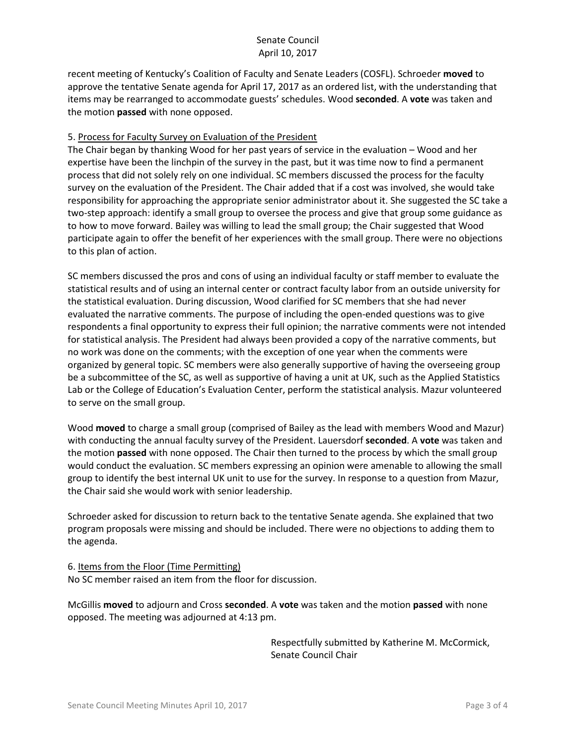recent meeting of Kentucky's Coalition of Faculty and Senate Leaders (COSFL). Schroeder **moved** to approve the tentative Senate agenda for April 17, 2017 as an ordered list, with the understanding that items may be rearranged to accommodate guests' schedules. Wood **seconded**. A **vote** was taken and the motion **passed** with none opposed.

#### 5. Process for Faculty Survey on Evaluation of the President

The Chair began by thanking Wood for her past years of service in the evaluation – Wood and her expertise have been the linchpin of the survey in the past, but it was time now to find a permanent process that did not solely rely on one individual. SC members discussed the process for the faculty survey on the evaluation of the President. The Chair added that if a cost was involved, she would take responsibility for approaching the appropriate senior administrator about it. She suggested the SC take a two-step approach: identify a small group to oversee the process and give that group some guidance as to how to move forward. Bailey was willing to lead the small group; the Chair suggested that Wood participate again to offer the benefit of her experiences with the small group. There were no objections to this plan of action.

SC members discussed the pros and cons of using an individual faculty or staff member to evaluate the statistical results and of using an internal center or contract faculty labor from an outside university for the statistical evaluation. During discussion, Wood clarified for SC members that she had never evaluated the narrative comments. The purpose of including the open-ended questions was to give respondents a final opportunity to express their full opinion; the narrative comments were not intended for statistical analysis. The President had always been provided a copy of the narrative comments, but no work was done on the comments; with the exception of one year when the comments were organized by general topic. SC members were also generally supportive of having the overseeing group be a subcommittee of the SC, as well as supportive of having a unit at UK, such as the Applied Statistics Lab or the College of Education's Evaluation Center, perform the statistical analysis. Mazur volunteered to serve on the small group.

Wood **moved** to charge a small group (comprised of Bailey as the lead with members Wood and Mazur) with conducting the annual faculty survey of the President. Lauersdorf **seconded**. A **vote** was taken and the motion **passed** with none opposed. The Chair then turned to the process by which the small group would conduct the evaluation. SC members expressing an opinion were amenable to allowing the small group to identify the best internal UK unit to use for the survey. In response to a question from Mazur, the Chair said she would work with senior leadership.

Schroeder asked for discussion to return back to the tentative Senate agenda. She explained that two program proposals were missing and should be included. There were no objections to adding them to the agenda.

6. Items from the Floor (Time Permitting) No SC member raised an item from the floor for discussion.

McGillis **moved** to adjourn and Cross **seconded**. A **vote** was taken and the motion **passed** with none opposed. The meeting was adjourned at 4:13 pm.

> Respectfully submitted by Katherine M. McCormick, Senate Council Chair